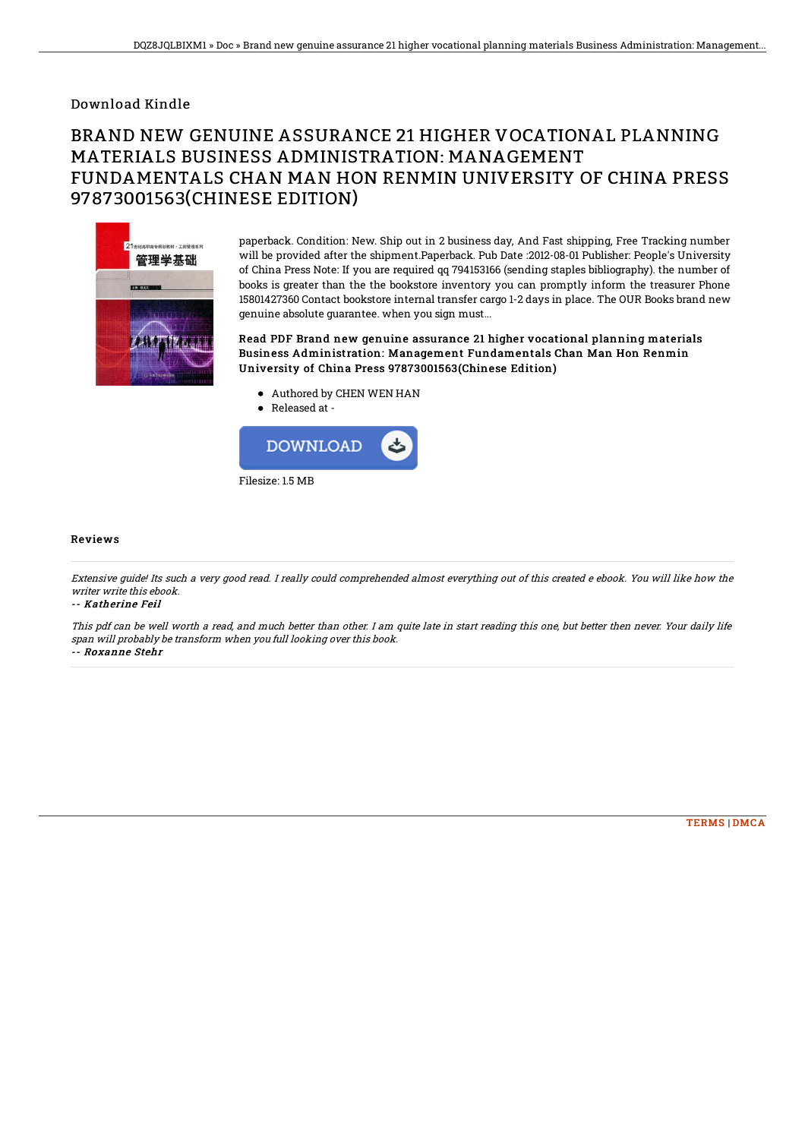## Download Kindle

## BRAND NEW GENUINE ASSURANCE 21 HIGHER VOCATIONAL PLANNING MATERIALS BUSINESS ADMINISTRATION: MANAGEMENT FUNDAMENTALS CHAN MAN HON RENMIN UNIVERSITY OF CHINA PRESS 97873001563(CHINESE EDITION)



paperback. Condition: New. Ship out in 2 business day, And Fast shipping, Free Tracking number will be provided after the shipment.Paperback. Pub Date :2012-08-01 Publisher: People's University of China Press Note: If you are required qq 794153166 (sending staples bibliography). the number of books is greater than the the bookstore inventory you can promptly inform the treasurer Phone 15801427360 Contact bookstore internal transfer cargo 1-2 days in place. The OUR Books brand new genuine absolute guarantee. when you sign must...

Read PDF Brand new genuine assurance 21 higher vocational planning materials Business Administration: Management Fundamentals Chan Man Hon Renmin University of China Press 97873001563(Chinese Edition)

- Authored by CHEN WEN HAN
- Released at -



## Reviews

Extensive guide! Its such <sup>a</sup> very good read. I really could comprehended almost everything out of this created <sup>e</sup> ebook. You will like how the writer write this ebook.

-- Katherine Feil

This pdf can be well worth <sup>a</sup> read, and much better than other. I am quite late in start reading this one, but better then never. Your daily life span will probably be transform when you full looking over this book. -- Roxanne Stehr